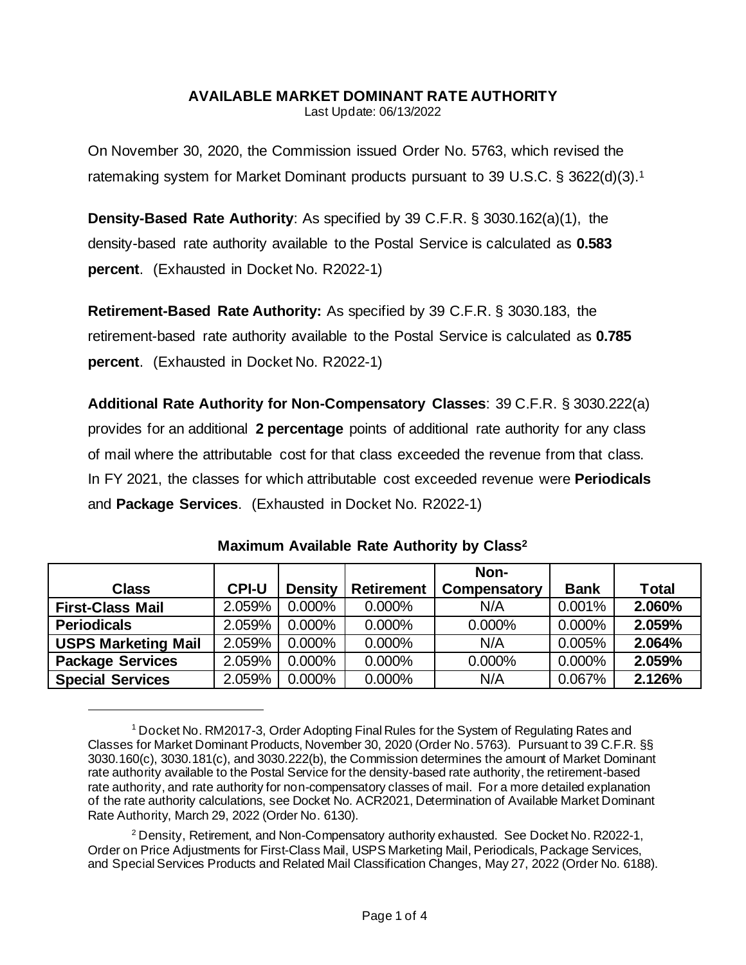## **AVAILABLE MARKET DOMINANT RATE AUTHORITY**

Last Update: 06/13/2022

On November 30, 2020, the Commission issued Order No. 5763, which revised the ratemaking system for Market Dominant products pursuant to 39 U.S.C. § 3622(d)(3).<sup>1</sup>

**Density-Based Rate Authority**: As specified by 39 C.F.R. § 3030.162(a)(1), the density-based rate authority available to the Postal Service is calculated as **0.583 percent**. (Exhausted in Docket No. R2022-1)

**Retirement-Based Rate Authority:** As specified by 39 C.F.R. § 3030.183, the retirement-based rate authority available to the Postal Service is calculated as **0.785 percent**. (Exhausted in Docket No. R2022-1)

**Additional Rate Authority for Non-Compensatory Classes**: 39 C.F.R. § 3030.222(a) provides for an additional **2 percentage** points of additional rate authority for any class of mail where the attributable cost for that class exceeded the revenue from that class. In FY 2021, the classes for which attributable cost exceeded revenue were **Periodicals**  and **Package Services**. (Exhausted in Docket No. R2022-1)

|                            |              |                |                   | Non-         |             |        |
|----------------------------|--------------|----------------|-------------------|--------------|-------------|--------|
| <b>Class</b>               | <b>CPI-U</b> | <b>Density</b> | <b>Retirement</b> | Compensatory | <b>Bank</b> | Total  |
| <b>First-Class Mail</b>    | 2.059%       | $0.000\%$      | 0.000%            | N/A          | 0.001%      | 2.060% |
| <b>Periodicals</b>         | 2.059%       | 0.000%         | 0.000%            | 0.000%       | 0.000%      | 2.059% |
| <b>USPS Marketing Mail</b> | 2.059%       | $0.000\%$      | 0.000%            | N/A          | 0.005%      | 2.064% |
| <b>Package Services</b>    | 2.059%       | $0.000\%$      | 0.000%            | 0.000%       | 0.000%      | 2.059% |
| <b>Special Services</b>    | 2.059%       | 0.000%         | 0.000%            | N/A          | 0.067%      | 2.126% |

<sup>&</sup>lt;sup>1</sup> Docket No. RM2017-3, Order Adopting Final Rules for the System of Regulating Rates and Classes for Market Dominant Products, November 30, 2020 (Order No. 5763). Pursuant to 39 C.F.R. §§ 3030.160(c), 3030.181(c), and 3030.222(b), the Commission determines the amount of Market Dominant rate authority available to the Postal Service for the density-based rate authority, the retirement-based rate authority, and rate authority for non-compensatory classes of mail. For a more detailed explanation of the rate authority calculations, see Docket No. ACR2021, Determination of Available Market Dominant Rate Authority, March 29, 2022 (Order No. 6130).

<sup>2</sup> Density, Retirement, and Non-Compensatory authority exhausted. See Docket No. R2022-1, Order on Price Adjustments for First-Class Mail, USPS Marketing Mail, Periodicals, Package Services, and Special Services Products and Related Mail Classification Changes, May 27, 2022 (Order No. 6188).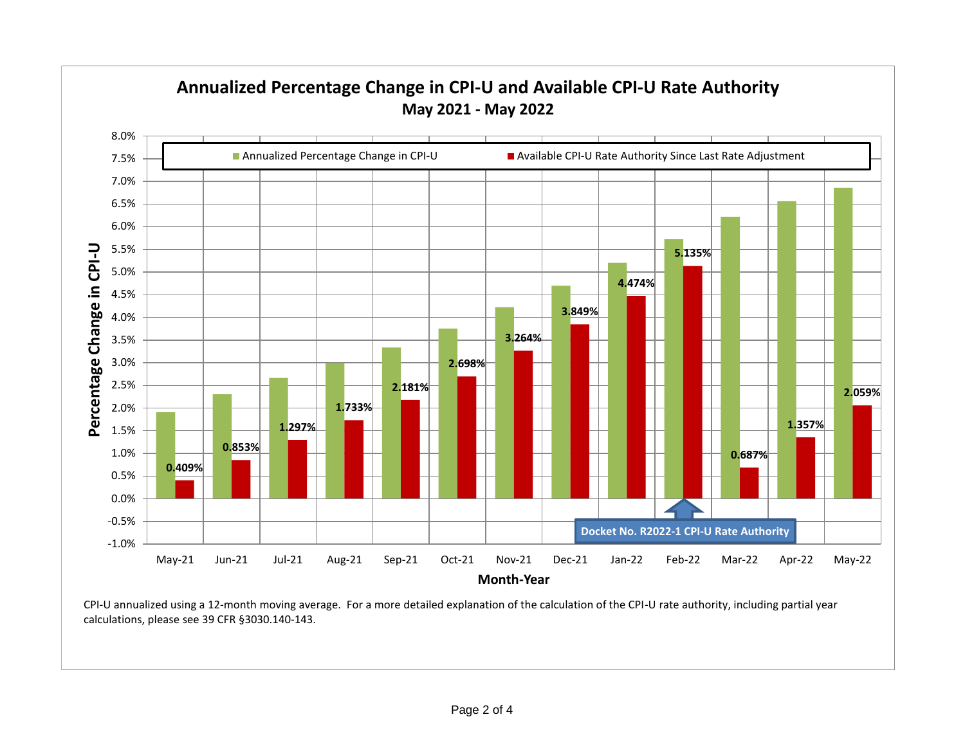

CPI-U annualized using a 12-month moving average. For a more detailed explanation of the calculation of the CPI-U rate authority, including partial year calculations, please see 39 CFR §3030.140-143.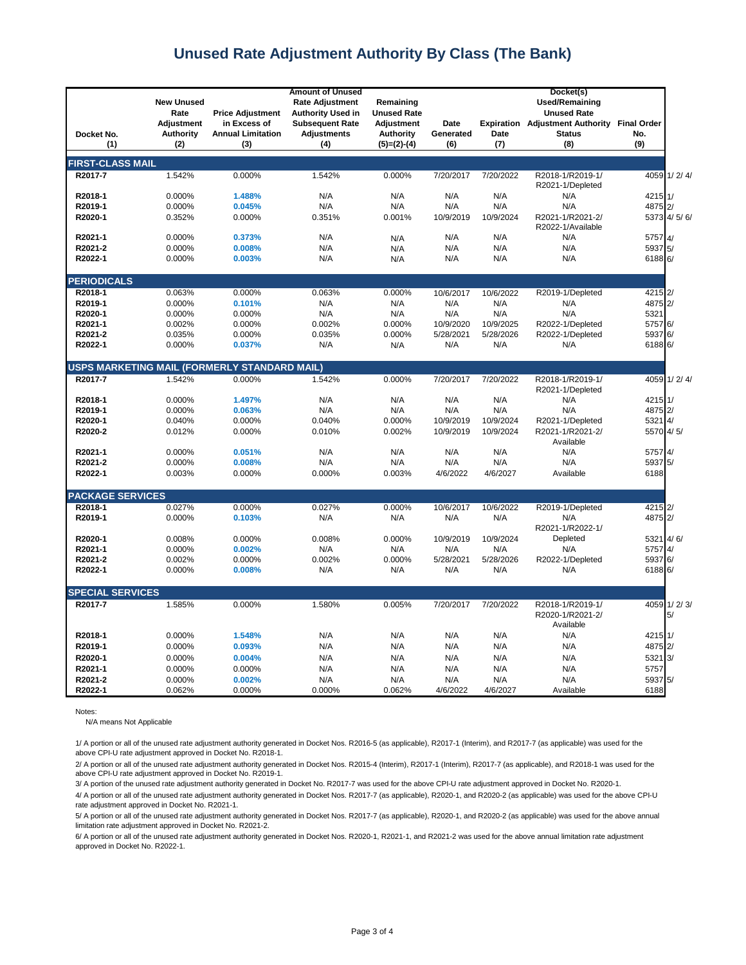## **Unused Rate Adjustment Authority By Class (The Bank)**

|                         | <b>New Unused</b><br>Rate                    | <b>Price Adjustment</b>                         | Remaining<br><b>Unused Rate</b>                     |                                                        |                          | Docket(s)<br><b>Used/Remaining</b><br><b>Unused Rate</b> |                                                                |                                  |
|-------------------------|----------------------------------------------|-------------------------------------------------|-----------------------------------------------------|--------------------------------------------------------|--------------------------|----------------------------------------------------------|----------------------------------------------------------------|----------------------------------|
| Docket No.<br>(1)       | <b>Adjustment</b><br><b>Authority</b><br>(2) | in Excess of<br><b>Annual Limitation</b><br>(3) | <b>Subsequent Rate</b><br><b>Adjustments</b><br>(4) | <b>Adjustment</b><br><b>Authority</b><br>$(5)=(2)-(4)$ | Date<br>Generated<br>(6) | Date<br>(7)                                              | <b>Expiration</b> Adjustment Authority<br><b>Status</b><br>(8) | <b>Final Order</b><br>No.<br>(9) |
|                         |                                              |                                                 |                                                     |                                                        |                          |                                                          |                                                                |                                  |
| <b>FIRST-CLASS MAIL</b> |                                              |                                                 |                                                     |                                                        |                          |                                                          |                                                                |                                  |
| R2017-7                 | 1.542%                                       | 0.000%                                          | 1.542%                                              | 0.000%                                                 | 7/20/2017                | 7/20/2022                                                | R2018-1/R2019-1/<br>R2021-1/Depleted                           | 4059 1/2/4/                      |
| R2018-1                 | 0.000%                                       | 1.488%                                          | N/A                                                 | N/A                                                    | N/A                      | N/A                                                      | N/A                                                            | 4215 1/                          |
| R2019-1                 | 0.000%                                       | 0.045%                                          | N/A                                                 | N/A                                                    | N/A                      | N/A                                                      | N/A                                                            | 4875 2/                          |
| R2020-1                 | 0.352%                                       | 0.000%                                          | 0.351%                                              | 0.001%                                                 | 10/9/2019                | 10/9/2024                                                | R2021-1/R2021-2/<br>R2022-1/Available                          | 5373 4/5/6/                      |
| R2021-1                 | 0.000%                                       | 0.373%                                          | N/A                                                 | N/A                                                    | N/A                      | N/A                                                      | N/A                                                            | 5757 4/                          |
| R2021-2                 | 0.000%                                       | 0.008%                                          | N/A                                                 | N/A                                                    | N/A                      | N/A                                                      | N/A                                                            | 5937 5/                          |
| R2022-1                 | 0.000%                                       | 0.003%                                          | N/A                                                 | N/A                                                    | N/A                      | N/A                                                      | N/A                                                            | 6188 6/                          |
| <b>PERIODICALS</b>      |                                              |                                                 |                                                     |                                                        |                          |                                                          |                                                                |                                  |
| R2018-1                 | 0.063%                                       | 0.000%                                          | 0.063%                                              | 0.000%                                                 | 10/6/2017                | 10/6/2022                                                | R2019-1/Depleted                                               | 4215 2/                          |
| R2019-1                 | 0.000%                                       | 0.101%                                          | N/A                                                 | N/A                                                    | N/A                      | N/A                                                      | N/A                                                            | 4875 2/                          |
| R2020-1                 | 0.000%                                       | 0.000%                                          | N/A                                                 | N/A                                                    | N/A                      | N/A                                                      | N/A                                                            | 5321                             |
| R2021-1<br>R2021-2      | 0.002%                                       | 0.000%                                          | 0.002%                                              | 0.000%                                                 | 10/9/2020                | 10/9/2025                                                | R2022-1/Depleted                                               | 5757 6/<br>5937 6/               |
| R2022-1                 | 0.035%<br>0.000%                             | 0.000%<br>0.037%                                | 0.035%<br>N/A                                       | 0.000%                                                 | 5/28/2021<br>N/A         | 5/28/2026<br>N/A                                         | R2022-1/Depleted<br>N/A                                        | 6188 6/                          |
|                         |                                              |                                                 |                                                     | N/A                                                    |                          |                                                          |                                                                |                                  |
|                         |                                              | USPS MARKETING MAIL (FORMERLY STANDARD MAIL)    |                                                     |                                                        |                          |                                                          |                                                                |                                  |
| R2017-7                 | 1.542%                                       | 0.000%                                          | 1.542%                                              | 0.000%                                                 | 7/20/2017                | 7/20/2022                                                | R2018-1/R2019-1/<br>R2021-1/Depleted                           | 4059<br>1/2/4/                   |
| R2018-1                 | 0.000%                                       | 1.497%                                          | N/A                                                 | N/A                                                    | N/A                      | N/A                                                      | N/A                                                            | 4215 1/                          |
| R2019-1                 | 0.000%                                       | 0.063%                                          | N/A                                                 | N/A                                                    | N/A                      | N/A                                                      | N/A                                                            | 4875 2/                          |
| R2020-1                 | 0.040%                                       | 0.000%                                          | 0.040%                                              | 0.000%                                                 | 10/9/2019                | 10/9/2024                                                | R2021-1/Depleted                                               | 5321 4/                          |
| R2020-2                 | 0.012%                                       | 0.000%                                          | 0.010%                                              | 0.002%                                                 | 10/9/2019                | 10/9/2024                                                | R2021-1/R2021-2/<br>Available                                  | 5570 4/5/                        |
| R2021-1                 | 0.000%                                       | 0.051%                                          | N/A                                                 | N/A                                                    | N/A                      | N/A                                                      | N/A                                                            | 5757 4/                          |
| R2021-2                 | 0.000%                                       | 0.008%                                          | N/A                                                 | N/A                                                    | N/A                      | N/A                                                      | N/A                                                            | 5937 5/                          |
| R2022-1                 | 0.003%                                       | 0.000%                                          | 0.000%                                              | 0.003%                                                 | 4/6/2022                 | 4/6/2027                                                 | Available                                                      | 6188                             |
| <b>PACKAGE SERVICES</b> |                                              |                                                 |                                                     |                                                        |                          |                                                          |                                                                |                                  |
| R2018-1                 | 0.027%                                       | 0.000%                                          | 0.027%                                              | 0.000%                                                 | 10/6/2017                | 10/6/2022                                                | R2019-1/Depleted                                               | 4215 2/                          |
| R2019-1                 | 0.000%                                       | 0.103%                                          | N/A                                                 | N/A                                                    | N/A                      | N/A                                                      | N/A<br>R2021-1/R2022-1/                                        | 4875 2/                          |
| R2020-1                 | 0.008%                                       | 0.000%                                          | 0.008%                                              | 0.000%                                                 | 10/9/2019                | 10/9/2024                                                | Depleted                                                       | 5321 4/6/                        |
| R2021-1                 | 0.000%                                       | 0.002%                                          | N/A                                                 | N/A                                                    | N/A                      | N/A                                                      | N/A                                                            | 5757<br>4/                       |
| R2021-2                 | 0.002%                                       | 0.000%                                          | 0.002%                                              | 0.000%                                                 | 5/28/2021                | 5/28/2026                                                | R2022-1/Depleted                                               | 5937 6/                          |
| R2022-1                 | 0.000%                                       | 0.008%                                          | N/A                                                 | N/A                                                    | N/A                      | N/A                                                      | N/A                                                            | 6188 6/                          |
| <b>SPECIAL SERVICES</b> |                                              |                                                 |                                                     |                                                        |                          |                                                          |                                                                |                                  |
| R2017-7                 | 1.585%                                       | 0.000%                                          | 1.580%                                              | 0.005%                                                 | 7/20/2017                | 7/20/2022                                                | R2018-1/R2019-1/<br>R2020-1/R2021-2/<br>Available              | 4059<br>1/2/3/<br>5/             |
| R2018-1                 | 0.000%                                       | 1.548%                                          | N/A                                                 | N/A                                                    | N/A                      | N/A                                                      | N/A                                                            | 4215<br>1/                       |
| R2019-1                 | 0.000%                                       | 0.093%                                          | N/A                                                 | N/A                                                    | N/A                      | N/A                                                      | N/A                                                            | 4875 2/                          |
| R2020-1                 | 0.000%                                       | 0.004%                                          | N/A                                                 | N/A                                                    | N/A                      | N/A                                                      | N/A                                                            | 5321 3/                          |
| R2021-1                 | 0.000%                                       | 0.000%                                          | N/A                                                 | N/A                                                    | N/A                      | N/A                                                      | N/A                                                            | 5757                             |
| R2021-2                 | 0.000%                                       | 0.002%                                          | N/A                                                 | N/A                                                    | N/A                      | N/A                                                      | N/A                                                            | 5937 5/                          |
| R2022-1                 | 0.062%                                       | 0.000%                                          | 0.000%                                              | 0.062%                                                 | 4/6/2022                 | 4/6/2027                                                 | Available                                                      | 6188                             |

Notes:

N/A means Not Applicable

1/ A portion or all of the unused rate adjustment authority generated in Docket Nos. R2016-5 (as applicable), R2017-1 (Interim), and R2017-7 (as applicable) was used for the above CPI-U rate adjustment approved in Docket No. R2018-1.

2/ A portion or all of the unused rate adjustment authority generated in Docket Nos. R2015-4 (Interim), R2017-1 (Interim), R2017-7 (as applicable), and R2018-1 was used for the above CPI-U rate adjustment approved in Docket No. R2019-1.

4/ A portion or all of the unused rate adjustment authority generated in Docket Nos. R2017-7 (as applicable), R2020-1, and R2020-2 (as applicable) was used for the above CPI-U 3/ A portion of the unused rate adjustment authority generated in Docket No. R2017-7 was used for the above CPI-U rate adjustment approved in Docket No. R2020-1.

5/ A portion or all of the unused rate adjustment authority generated in Docket Nos. R2017-7 (as applicable), R2020-1, and R2020-2 (as applicable) was used for the above annual limitation rate adjustment approved in Docket No. R2021-2. rate adjustment approved in Docket No. R2021-1.

6/ A portion or all of the unused rate adjustment authority generated in Docket Nos. R2020-1, R2021-1, and R2021-2 was used for the above annual limitation rate adjustment approved in Docket No. R2022-1.